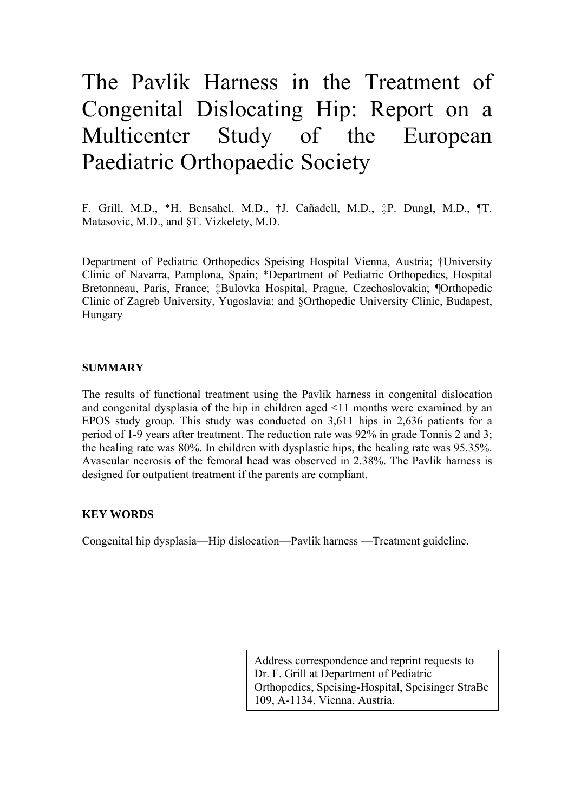# The Pavlik Harness in the Treatment of Congenital Dislocating Hip: Report on a Multicenter Study of the European Paediatric Orthopaedic Society

F. Grill, M.D., \*H. Bensahel, M.D., †J. Cañadell, M.D., ‡P. Dungl, M.D., ¶T. Matasovic, M.D., and §T. Vizkelety, M.D.

Department of Pediatric Orthopedics Speising Hospital Vienna, Austria; †University Clinic of Navarra, Pamplona, Spain; \*Department of Pediatric Orthopedics, Hospital Bretonneau, Paris, France; ‡Bulovka Hospital, Prague, Czechoslovakia; ¶Orthopedic Clinic of Zagreb University, Yugoslavia; and §Orthopedic University Clinic, Budapest, Hungary

### **SUMMARY**

The results of functional treatment using the Pavlik harness in congenital dislocation and congenital dysplasia of the hip in children aged <11 months were examined by an EPOS study group. This study was conducted on 3,611 hips in 2,636 patients for a period of 1-9 years after treatment. The reduction rate was 92% in grade Tonnis 2 and 3; the healing rate was 80%. In children with dysplastic hips, the healing rate was 95.35%. Avascular necrosis of the femoral head was observed in 2.38%. The Pavlik harness is designed for outpatient treatment if the parents are compliant.

#### **KEY WORDS**

Congenital hip dysplasia—Hip dislocation—Pavlik harness —Treatment guideline.

Address correspondence and reprint requests to Dr. F. Grill at Department of Pediatric Orthopedics, Speising-Hospital, Speisinger StraBe 109, A-1134, Vienna, Austria.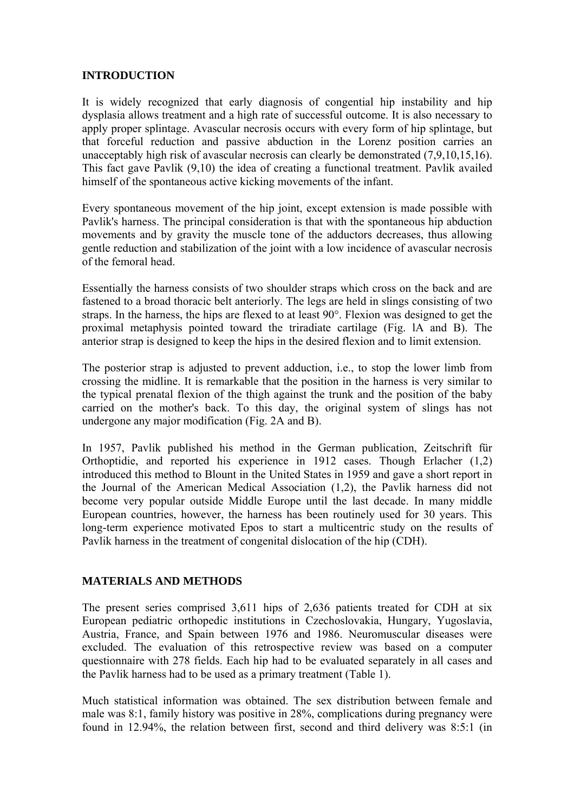## **INTRODUCTION**

It is widely recognized that early diagnosis of congential hip instability and hip dysplasia allows treatment and a high rate of successful outcome. It is also necessary to apply proper splintage. Avascular necrosis occurs with every form of hip splintage, but that forceful reduction and passive abduction in the Lorenz position carries an unacceptably high risk of avascular necrosis can clearly be demonstrated (7,9,10,15,16). This fact gave Pavlik (9,10) the idea of creating a functional treatment. Pavlik availed himself of the spontaneous active kicking movements of the infant.

Every spontaneous movement of the hip joint, except extension is made possible with Pavlik's harness. The principal consideration is that with the spontaneous hip abduction movements and by gravity the muscle tone of the adductors decreases, thus allowing gentle reduction and stabilization of the joint with a low incidence of avascular necrosis of the femoral head.

Essentially the harness consists of two shoulder straps which cross on the back and are fastened to a broad thoracic belt anteriorly. The legs are held in slings consisting of two straps. In the harness, the hips are flexed to at least 90°. Flexion was designed to get the proximal metaphysis pointed toward the triradiate cartilage (Fig. lA and B). The anterior strap is designed to keep the hips in the desired flexion and to limit extension.

The posterior strap is adjusted to prevent adduction, i.e., to stop the lower limb from crossing the midline. It is remarkable that the position in the harness is very similar to the typical prenatal flexion of the thigh against the trunk and the position of the baby carried on the mother's back. To this day, the original system of slings has not undergone any major modification (Fig. 2A and B).

In 1957, Pavlik published his method in the German publication, Zeitschrift für Orthoptidie, and reported his experience in 1912 cases. Though Erlacher (1,2) introduced this method to Blount in the United States in 1959 and gave a short report in the Journal of the American Medical Association (1,2), the Pavlik harness did not become very popular outside Middle Europe until the last decade. In many middle European countries, however, the harness has been routinely used for 30 years. This long-term experience motivated Epos to start a multicentric study on the results of Pavlik harness in the treatment of congenital dislocation of the hip (CDH).

#### **MATERIALS AND METHODS**

The present series comprised 3,611 hips of 2,636 patients treated for CDH at six European pediatric orthopedic institutions in Czechoslovakia, Hungary, Yugoslavia, Austria, France, and Spain between 1976 and 1986. Neuromuscular diseases were excluded. The evaluation of this retrospective review was based on a computer questionnaire with 278 fields. Each hip had to be evaluated separately in all cases and the Pavlik harness had to be used as a primary treatment (Table 1).

Much statistical information was obtained. The sex distribution between female and male was 8:1, family history was positive in 28%, complications during pregnancy were found in 12.94%, the relation between first, second and third delivery was 8:5:1 (in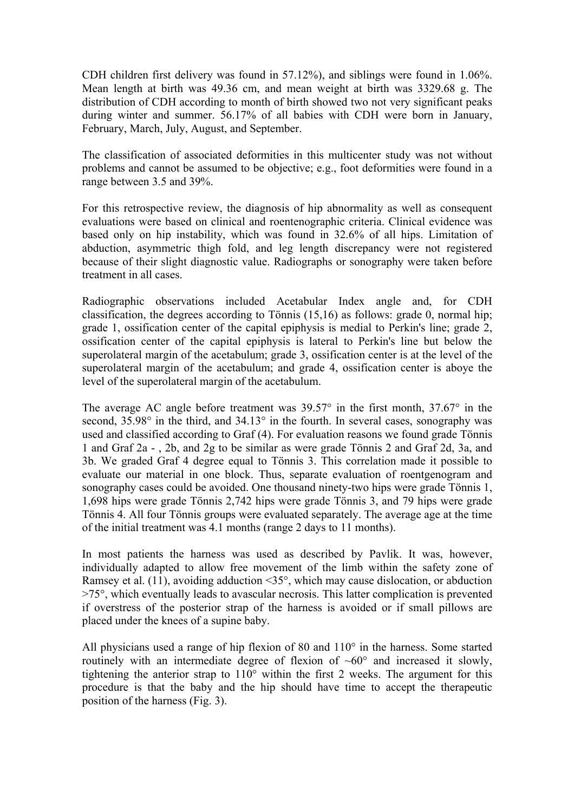CDH children first delivery was found in 57.12%), and siblings were found in 1.06%. Mean length at birth was 49.36 cm, and mean weight at birth was 3329.68 g. The distribution of CDH according to month of birth showed two not very significant peaks during winter and summer. 56.17% of all babies with CDH were born in January, February, March, July, August, and September.

The classification of associated deformities in this multicenter study was not without problems and cannot be assumed to be objective; e.g., foot deformities were found in a range between 3.5 and 39%.

For this retrospective review, the diagnosis of hip abnormality as well as consequent evaluations were based on clinical and roentenographic criteria. Clinical evidence was based only on hip instability, which was found in 32.6% of all hips. Limitation of abduction, asymmetric thigh fold, and leg length discrepancy were not registered because of their slight diagnostic value. Radiographs or sonography were taken before treatment in all cases.

Radiographic observations included Acetabular Index angle and, for CDH classification, the degrees according to Tönnis (15,16) as follows: grade 0, normal hip; grade 1, ossification center of the capital epiphysis is medial to Perkin's line; grade 2, ossification center of the capital epiphysis is lateral to Perkin's line but below the superolateral margin of the acetabulum; grade 3, ossification center is at the level of the superolateral margin of the acetabulum; and grade 4, ossification center is aboye the level of the superolateral margin of the acetabulum.

The average AC angle before treatment was  $39.57^{\circ}$  in the first month,  $37.67^{\circ}$  in the second, 35.98° in the third, and 34.13° in the fourth. In several cases, sonography was used and classified according to Graf (4). For evaluation reasons we found grade Tönnis 1 and Graf 2a - , 2b, and 2g to be similar as were grade Tönnis 2 and Graf 2d, 3a, and 3b. We graded Graf 4 degree equal to Tönnis 3. This correlation made it possible to evaluate our material in one block. Thus, separate evaluation of roentgenogram and sonography cases could be avoided. One thousand ninety-two hips were grade Tönnis 1, 1,698 hips were grade Tönnis 2,742 hips were grade Tönnis 3, and 79 hips were grade Tönnis 4. All four Tönnis groups were evaluated separately. The average age at the time of the initial treatment was 4.1 months (range 2 days to 11 months).

In most patients the harness was used as described by Pavlik. It was, however, individually adapted to allow free movement of the limb within the safety zone of Ramsey et al. (11), avoiding adduction <35°, which may cause dislocation, or abduction >75°, which eventually leads to avascular necrosis. This latter complication is prevented if overstress of the posterior strap of the harness is avoided or if small pillows are placed under the knees of a supine baby.

All physicians used a range of hip flexion of 80 and 110° in the harness. Some started routinely with an intermediate degree of flexion of  $~60^{\circ}$  and increased it slowly, tightening the anterior strap to  $110^{\circ}$  within the first 2 weeks. The argument for this procedure is that the baby and the hip should have time to accept the therapeutic position of the harness (Fig. 3).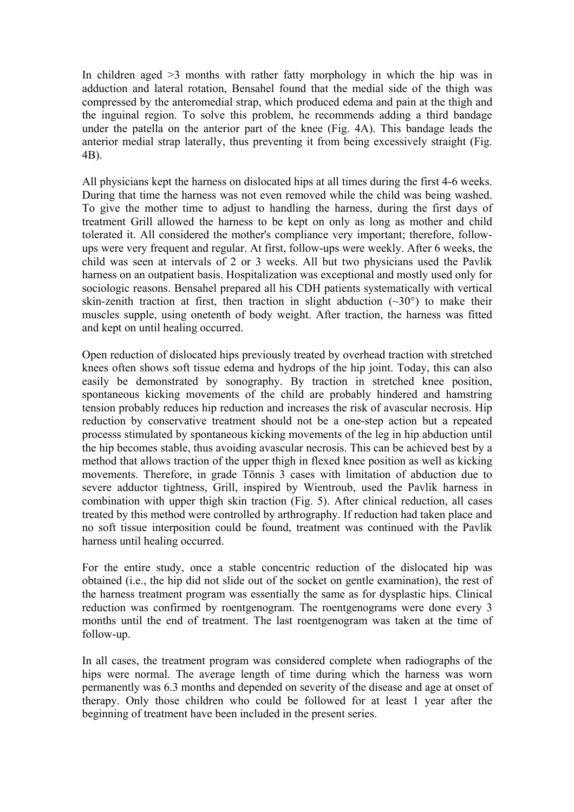In children aged  $\geq$ 3 months with rather fatty morphology in which the hip was in adduction and lateral rotation, Bensahel found that the medial side of the thigh was compressed by the anteromedial strap, which produced edema and pain at the thigh and the inguinal region. To solve this problem, he recommends adding a third bandage under the patella on the anterior part of the knee (Fig. 4A). This bandage leads the anterior medial strap laterally, thus preventing it from being excessively straight (Fig. 4B).

All physicians kept the harness on dislocated hips at all times during the first 4-6 weeks. During that time the harness was not even removed while the child was being washed. To give the mother time to adjust to handling the harness, during the first days of treatment Grill allowed the harness to be kept on only as long as mother and child tolerated it. All considered the mother's compliance very important; therefore, followups were very frequent and regular. At first, follow-ups were weekly. After 6 weeks, the child was seen at intervals of 2 or 3 weeks. All but two physicians used the Pavlik harness on an outpatient basis. Hospitalization was exceptional and mostly used only for sociologic reasons. Bensahel prepared all his CDH patients systematically with vertical skin-zenith traction at first, then traction in slight abduction  $(-30^{\circ})$  to make their muscles supple, using onetenth of body weight. After traction, the harness was fitted and kept on until healing occurred.

Open reduction of dislocated hips previously treated by overhead traction with stretched knees often shows soft tissue edema and hydrops of the hip joint. Today, this can also easily be demonstrated by sonography. By traction in stretched knee position, spontaneous kicking movements of the child are probably hindered and hamstring tension probably reduces hip reduction and increases the risk of avascular necrosis. Hip reduction by conservative treatment should not be a one-step action but a repeated processs stimulated by spontaneous kicking movements of the leg in hip abduction until the hip becomes stable, thus avoiding avascular necrosis. This can be achieved best by a method that allows traction of the upper thigh in flexed knee position as well as kicking movements. Therefore, in grade Tönnis 3 cases with limitation of abduction due to severe adductor tightness, Grill, inspired by Wientroub, used the Pavlik harness in combination with upper thigh skin traction (Fig. 5). After clinical reduction, all cases treated by this method were controlled by arthrography. If reduction had taken place and no soft tissue interposition could be found, treatment was continued with the Pavlik harness until healing occurred.

For the entire study, once a stable concentric reduction of the dislocated hip was obtained (i.e., the hip did not slide out of the socket on gentle examination), the rest of the harness treatment program was essentially the same as for dysplastic hips. Clinical reduction was confirmed by roentgenogram. The roentgenograms were done every 3 months until the end of treatment. The last roentgenogram was taken at the time of follow-up.

In all cases, the treatment program was considered complete when radiographs of the hips were normal. The average length of time during which the harness was worn permanently was 6.3 months and depended on severity of the disease and age at onset of therapy. Only those children who could be followed for at least 1 year after the beginning of treatment have been included in the present series.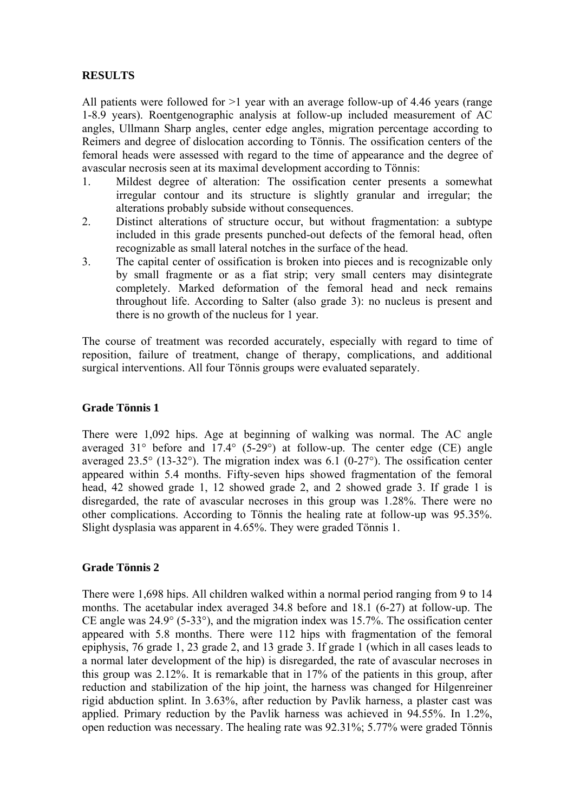## **RESULTS**

All patients were followed for  $>1$  year with an average follow-up of 4.46 years (range 1-8.9 years). Roentgenographic analysis at follow-up included measurement of AC angles, Ullmann Sharp angles, center edge angles, migration percentage according to Reimers and degree of dislocation according to Tönnis. The ossification centers of the femoral heads were assessed with regard to the time of appearance and the degree of avascular necrosis seen at its maximal development according to Tönnis:

- 1. Mildest degree of alteration: The ossification center presents a somewhat irregular contour and its structure is slightly granular and irregular; the alterations probably subside without consequences.
- 2. Distinct alterations of structure occur, but without fragmentation: a subtype included in this grade presents punched-out defects of the femoral head, often recognizable as small lateral notches in the surface of the head.
- 3. The capital center of ossification is broken into pieces and is recognizable only by small fragmente or as a fíat strip; very small centers may disintegrate completely. Marked deformation of the femoral head and neck remains throughout life. According to Salter (also grade 3): no nucleus is present and there is no growth of the nucleus for 1 year.

The course of treatment was recorded accurately, especially with regard to time of reposition, failure of treatment, change of therapy, complications, and additional surgical interventions. All four Tönnis groups were evaluated separately.

#### **Grade Tönnis 1**

There were 1,092 hips. Age at beginning of walking was normal. The AC angle averaged 31° before and 17.4° (5-29°) at follow-up. The center edge (CE) angle averaged 23.5° (13-32°). The migration index was 6.1 (0-27°). The ossification center appeared within 5.4 months. Fifty-seven hips showed fragmentation of the femoral head, 42 showed grade 1, 12 showed grade 2, and 2 showed grade 3. If grade 1 is disregarded, the rate of avascular necroses in this group was 1.28%. There were no other complications. According to Tönnis the healing rate at follow-up was 95.35%. Slight dysplasia was apparent in 4.65%. They were graded Tönnis 1.

#### **Grade Tönnis 2**

There were 1,698 hips. All children walked within a normal period ranging from 9 to 14 months. The acetabular index averaged 34.8 before and 18.1 (6-27) at follow-up. The CE angle was  $24.9^{\circ}$  (5-33 $^{\circ}$ ), and the migration index was 15.7%. The ossification center appeared with 5.8 months. There were 112 hips with fragmentation of the femoral epiphysis, 76 grade 1, 23 grade 2, and 13 grade 3. If grade 1 (which in all cases leads to a normal later development of the hip) is disregarded, the rate of avascular necroses in this group was 2.12%. It is remarkable that in 17% of the patients in this group, after reduction and stabilization of the hip joint, the harness was changed for Hilgenreiner rigid abduction splint. In 3.63%, after reduction by Pavlik harness, a plaster cast was applied. Primary reduction by the Pavlik harness was achieved in 94.55%. In 1.2%, open reduction was necessary. The healing rate was 92.31%; 5.77% were graded Tönnis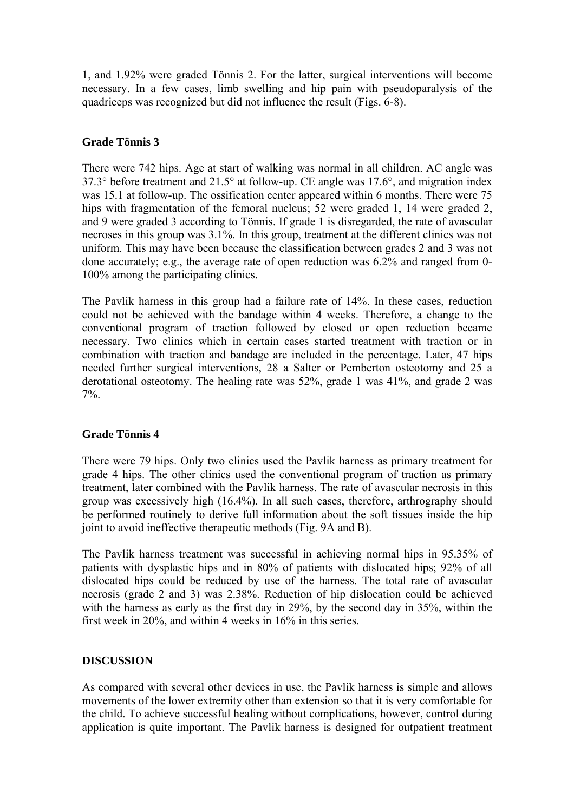1, and 1.92% were graded Tönnis 2. For the latter, surgical interventions will become necessary. In a few cases, limb swelling and hip pain with pseudoparalysis of the quadriceps was recognized but did not influence the result (Figs. 6-8).

## **Grade Tönnis 3**

There were 742 hips. Age at start of walking was normal in all children. AC angle was 37.3° before treatment and 21.5° at follow-up. CE angle was 17.6°, and migration index was 15.1 at follow-up. The ossification center appeared within 6 months. There were 75 hips with fragmentation of the femoral nucleus; 52 were graded 1, 14 were graded 2, and 9 were graded 3 according to Tönnis. If grade 1 is disregarded, the rate of avascular necroses in this group was 3.1%. In this group, treatment at the different clinics was not uniform. This may have been because the classification between grades 2 and 3 was not done accurately; e.g., the average rate of open reduction was 6.2% and ranged from 0- 100% among the participating clinics.

The Pavlik harness in this group had a failure rate of 14%. In these cases, reduction could not be achieved with the bandage within 4 weeks. Therefore, a change to the conventional program of traction followed by closed or open reduction became necessary. Two clinics which in certain cases started treatment with traction or in combination with traction and bandage are included in the percentage. Later, 47 hips needed further surgical interventions, 28 a Salter or Pemberton osteotomy and 25 a derotational osteotomy. The healing rate was 52%, grade 1 was 41%, and grade 2 was 7%.

#### **Grade Tönnis 4**

There were 79 hips. Only two clinics used the Pavlik harness as primary treatment for grade 4 hips. The other clinics used the conventional program of traction as primary treatment, later combined with the Pavlik harness. The rate of avascular necrosis in this group was excessively high (16.4%). In all such cases, therefore, arthrography should be performed routinely to derive full information about the soft tissues inside the hip joint to avoid ineffective therapeutic methods (Fig. 9A and B).

The Pavlik harness treatment was successful in achieving normal hips in 95.35% of patients with dysplastic hips and in 80% of patients with dislocated hips; 92% of all dislocated hips could be reduced by use of the harness. The total rate of avascular necrosis (grade 2 and 3) was 2.38%. Reduction of hip dislocation could be achieved with the harness as early as the first day in 29%, by the second day in 35%, within the first week in 20%, and within 4 weeks in 16% in this series.

#### **DISCUSSION**

As compared with several other devices in use, the Pavlik harness is simple and allows movements of the lower extremity other than extension so that it is very comfortable for the child. To achieve successful healing without complications, however, control during application is quite important. The Pavlik harness is designed for outpatient treatment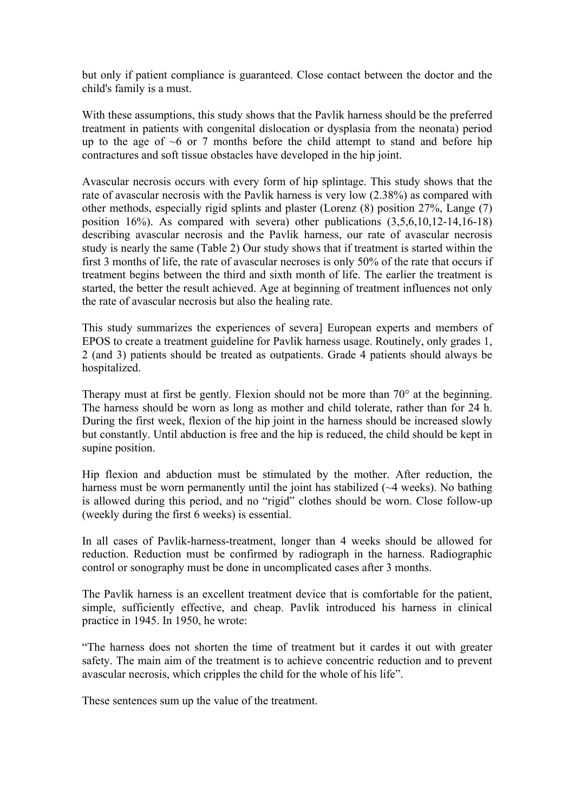but only if patient compliance is guaranteed. Close contact between the doctor and the child's family is a must.

With these assumptions, this study shows that the Pavlik harness should be the preferred treatment in patients with congenital dislocation or dysplasia from the neonata) period up to the age of  $\sim$ 6 or 7 months before the child attempt to stand and before hip contractures and soft tissue obstacles have developed in the hip joint.

Avascular necrosis occurs with every form of hip splintage. This study shows that the rate of avascular necrosis with the Pavlik harness is very low (2.38%) as compared with other methods, especially rigid splints and plaster (Lorenz (8) position 27%, Lange (7) position  $16\%$ ). As compared with severa) other publications  $(3,5,6,10,12-14,16-18)$ describing avascular necrosis and the Pavlik harness, our rate of avascular necrosis study is nearly the same (Table 2) Our study shows that if treatment is started within the first 3 months of life, the rate of avascular necroses is only 50% of the rate that occurs if treatment begins between the third and sixth month of life. The earlier the treatment is started, the better the result achieved. Age at beginning of treatment influences not only the rate of avascular necrosis but also the healing rate.

This study summarizes the experiences of severa] European experts and members of EPOS to create a treatment guideline for Pavlik harness usage. Routinely, only grades 1, 2 (and 3) patients should be treated as outpatients. Grade 4 patients should always be hospitalized.

Therapy must at first be gently. Flexion should not be more than 70° at the beginning. The harness should be worn as long as mother and child tolerate, rather than for 24 h. During the first week, flexion of the hip joint in the harness should be increased slowly but constantly. Until abduction is free and the hip is reduced, the child should be kept in supine position.

Hip flexion and abduction must be stimulated by the mother. After reduction, the harness must be worn permanently until the joint has stabilized ( $\sim$ 4 weeks). No bathing is allowed during this period, and no "rigid" clothes should be worn. Close follow-up (weekly during the first 6 weeks) is essential.

In all cases of Pavlik-harness-treatment, longer than 4 weeks should be allowed for reduction. Reduction must be confirmed by radiograph in the harness. Radiographic control or sonography must be done in uncomplicated cases after 3 months.

The Pavlik harness is an excellent treatment device that is comfortable for the patient, simple, sufficiently effective, and cheap. Pavlik introduced his harness in clinical practice in 1945. In 1950, he wrote:

"The harness does not shorten the time of treatment but it cardes it out with greater safety. The main aim of the treatment is to achieve concentric reduction and to prevent avascular necrosis, which cripples the child for the whole of his life".

These sentences sum up the value of the treatment.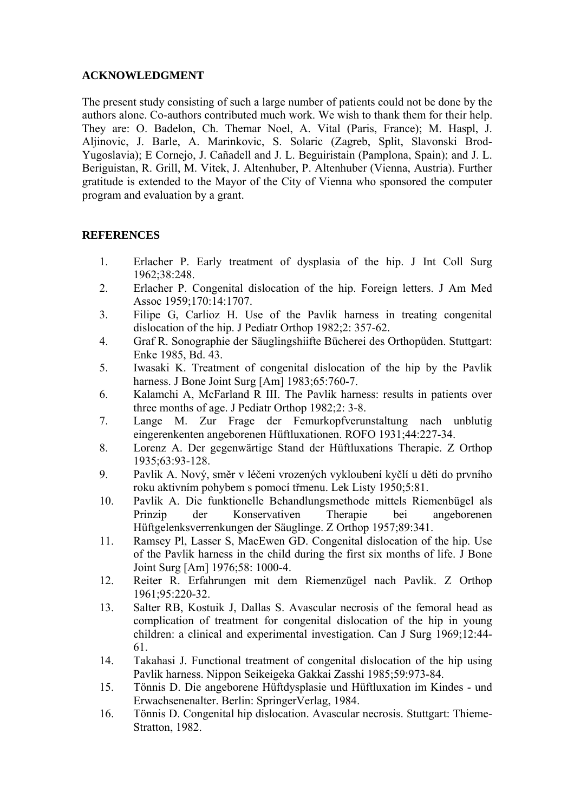## **ACKNOWLEDGMENT**

The present study consisting of such a large number of patients could not be done by the authors alone. Co-authors contributed much work. We wish to thank them for their help. They are: O. Badelon, Ch. Themar Noel, A. Vital (Paris, France); M. Haspl, J. Aljinovic, J. Barle, A. Marinkovic, S. Solaric (Zagreb, Split, Slavonski Brod-Yugoslavia); E Cornejo, J. Cañadell and J. L. Beguiristain (Pamplona, Spain); and J. L. Beriguistan, R. Grill, M. Vitek, J. Altenhuber, P. Altenhuber (Vienna, Austria). Further gratitude is extended to the Mayor of the City of Vienna who sponsored the computer program and evaluation by a grant.

## **REFERENCES**

- 1. Erlacher P. Early treatment of dysplasia of the hip. J Int Coll Surg 1962;38:248.
- 2. Erlacher P. Congenital dislocation of the hip. Foreign letters. J Am Med Assoc 1959;170:14:1707.
- 3. Filipe G, Carlioz H. Use of the Pavlik harness in treating congenital dislocation of the hip. J Pediatr Orthop 1982;2: 357-62.
- 4. Graf R. Sonographie der Säuglingshiifte Bücherei des Orthopüden. Stuttgart: Enke 1985, Bd. 43.
- 5. Iwasaki K. Treatment of congenital dislocation of the hip by the Pavlik harness. J Bone Joint Surg [Am] 1983;65:760-7.
- 6. Kalamchi A, McFarland R III. The Pavlik harness: results in patients over three months of age. J Pediatr Orthop 1982;2: 3-8.
- 7. Lange M. Zur Frage der Femurkopfverunstaltung nach unblutig eingerenkenten angeborenen Hüftluxationen. ROFO 1931;44:227-34.
- 8. Lorenz A. Der gegenwärtige Stand der Hüftluxations Therapie. Z Orthop 1935;63:93-128.
- 9. Pavlik A. Nový, směr v léčeni vrozených vykloubení kyčlí u děti do prvního roku aktivním pohybem s pomocí třmenu. Lek Listy 1950;5:81.
- 10. Pavlik A. Die funktionelle Behandlungsmethode mittels Riemenbügel als Prinzip der Konservativen Therapie bei angeborenen Hüftgelenksverrenkungen der Säuglinge. Z Orthop 1957;89:341.
- 11. Ramsey Pl, Lasser S, MacEwen GD. Congenital dislocation of the hip. Use of the Pavlik harness in the child during the first six months of life. J Bone Joint Surg [Am] 1976;58: 1000-4.
- 12. Reiter R. Erfahrungen mit dem Riemenzügel nach Pavlik. Z Orthop 1961;95:220-32.
- 13. Salter RB, Kostuik J, Dallas S. Avascular necrosis of the femoral head as complication of treatment for congenital dislocation of the hip in young children: a clinical and experimental investigation. Can J Surg 1969;12:44- 61.
- 14. Takahasi J. Functional treatment of congenital dislocation of the hip using Pavlik harness. Nippon Seikeigeka Gakkai Zasshi 1985;59:973-84.
- 15. Tönnis D. Die angeborene Hüftdysplasie und Hüftluxation im Kindes und Erwachsenenalter. Berlin: SpringerVerlag, 1984.
- 16. Tönnis D. Congenital hip dislocation. Avascular necrosis. Stuttgart: Thieme-Stratton, 1982.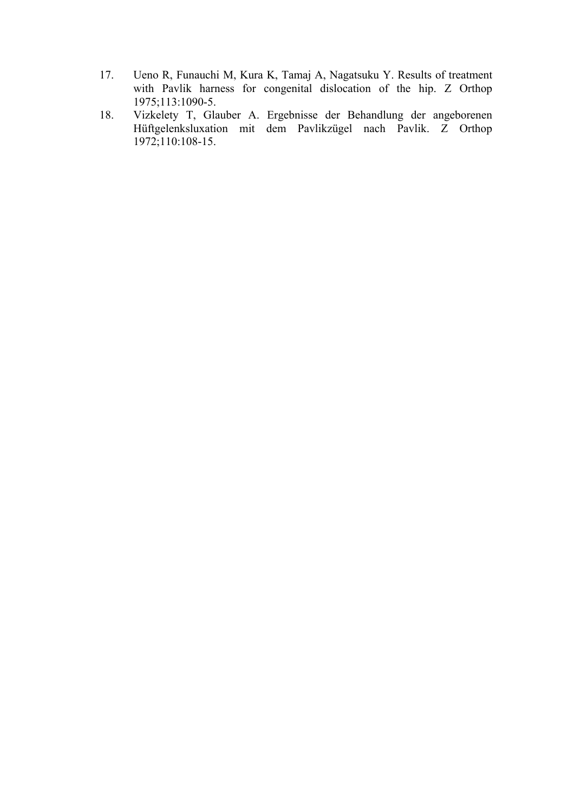- 17. Ueno R, Funauchi M, Kura K, Tamaj A, Nagatsuku Y. Results of treatment with Pavlik harness for congenital dislocation of the hip. Z Orthop 1975;113:1090-5.
- 18. Vizkelety T, Glauber A. Ergebnisse der Behandlung der angeborenen Hüftgelenksluxation mit dem Pavlikzügel nach Pavlik. Z Orthop 1972;110:108-15.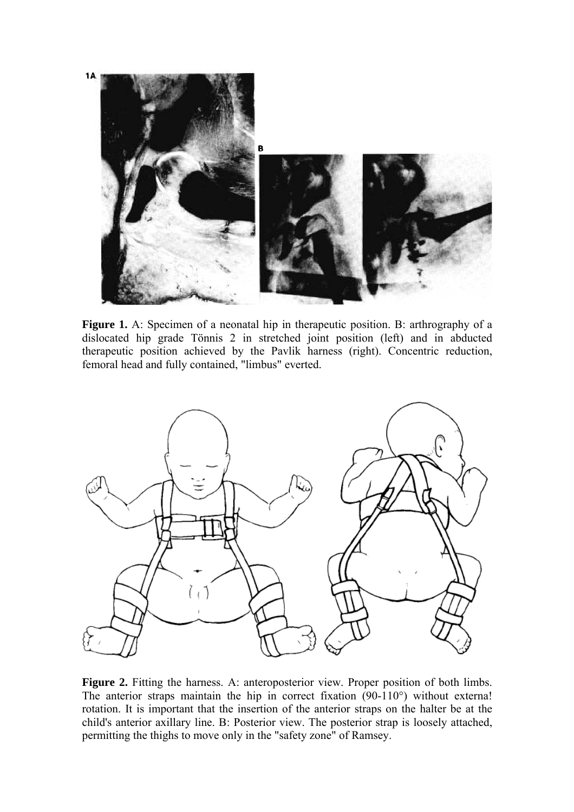

**Figure 1.** A: Specimen of a neonatal hip in therapeutic position. B: arthrography of a dislocated hip grade Tönnis 2 in stretched joint position (left) and in abducted therapeutic position achieved by the Pavlik harness (right). Concentric reduction, femoral head and fully contained, "limbus" everted.



Figure 2. Fitting the harness. A: anteroposterior view. Proper position of both limbs. The anterior straps maintain the hip in correct fixation (90-110°) without externa! rotation. It is important that the insertion of the anterior straps on the halter be at the child's anterior axillary line. B: Posterior view. The posterior strap is loosely attached, permitting the thighs to move only in the "safety zone" of Ramsey.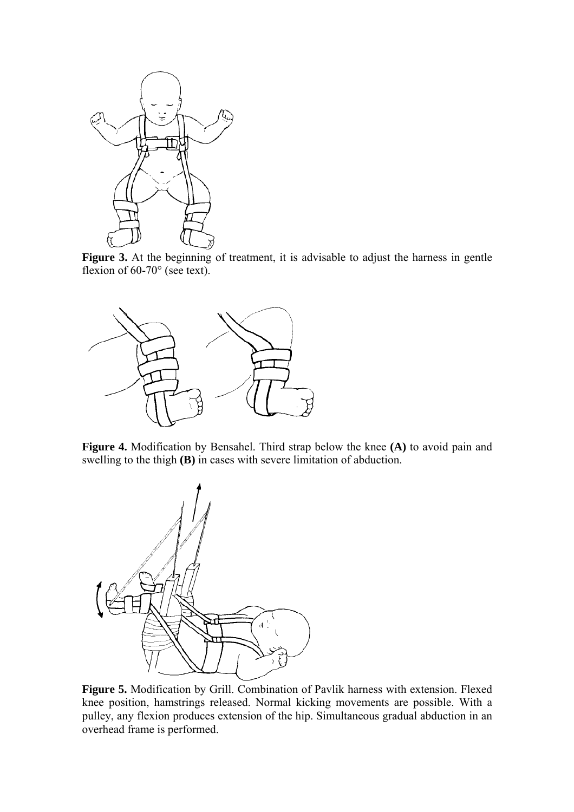

Figure 3. At the beginning of treatment, it is advisable to adjust the harness in gentle flexion of 60-70° (see text).



**Figure 4.** Modification by Bensahel. Third strap below the knee **(A)** to avoid pain and swelling to the thigh **(B)** in cases with severe limitation of abduction.



**Figure 5.** Modification by Grill. Combination of Pavlik harness with extension. Flexed knee position, hamstrings released. Normal kicking movements are possible. With a pulley, any flexion produces extension of the hip. Simultaneous gradual abduction in an overhead frame is performed.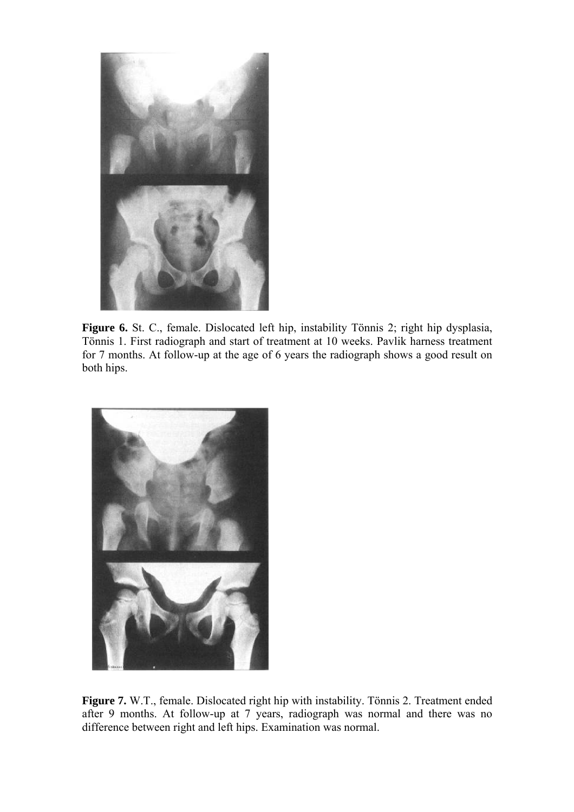

Figure 6. St. C., female. Dislocated left hip, instability Tönnis 2; right hip dysplasia, Tönnis 1. First radiograph and start of treatment at 10 weeks. Pavlik harness treatment for 7 months. At follow-up at the age of 6 years the radiograph shows a good result on both hips.



**Figure 7.** W.T., female. Dislocated right hip with instability. Tönnis 2. Treatment ended after 9 months. At follow-up at 7 years, radiograph was normal and there was no difference between right and left hips. Examination was normal.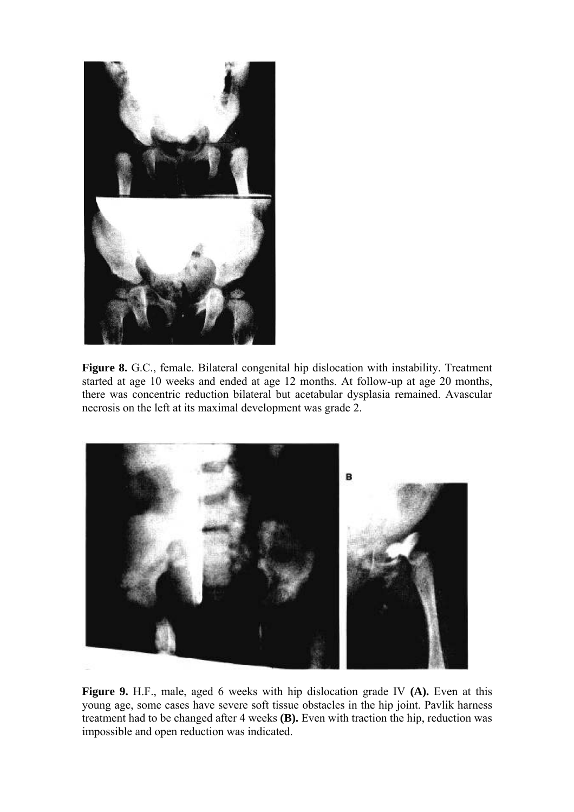

Figure 8. G.C., female. Bilateral congenital hip dislocation with instability. Treatment started at age 10 weeks and ended at age 12 months. At follow-up at age 20 months, there was concentric reduction bilateral but acetabular dysplasia remained. Avascular necrosis on the left at its maximal development was grade 2.



**Figure 9.** H.F., male, aged 6 weeks with hip dislocation grade IV **(A).** Even at this young age, some cases have severe soft tissue obstacles in the hip joint. Pavlik harness treatment had to be changed after 4 weeks **(B).** Even with traction the hip, reduction was impossible and open reduction was indicated.